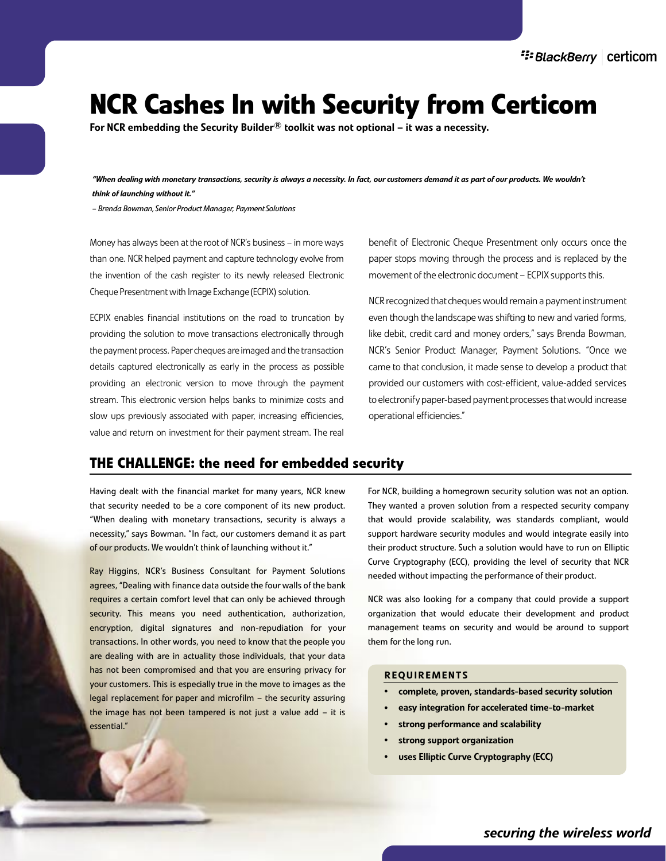# **NCR Cashes In with Security from Certicom**

For NCR embedding the Security Builder® toolkit was not optional – it was a necessity.

*"When dealing with monetary transactions, security is always a necessity. In fact, our customers demand it as part of our products. We wouldn't think of launching without it."*

*– Brenda Bowman, Senior Product Manager, Payment Solutions*

Money has always been at the root of NCR's business – in more ways than one. NCR helped payment and capture technology evolve from the invention of the cash register to its newly released Electronic Cheque Presentment with Image Exchange (ECPIX) solution.

ECPIX enables financial institutions on the road to truncation by providing the solution to move transactions electronically through the payment process. Paper cheques are imaged and the transaction details captured electronically as early in the process as possible providing an electronic version to move through the payment stream. This electronic version helps banks to minimize costs and slow ups previously associated with paper, increasing efficiencies, value and return on investment for their payment stream. The real benefit of Electronic Cheque Presentment only occurs once the paper stops moving through the process and is replaced by the movement of the electronic document – ECPIX supports this.

NCR recognized that cheques would remain a payment instrument even though the landscape was shifting to new and varied forms, like debit, credit card and money orders," says Brenda Bowman, NCR's Senior Product Manager, Payment Solutions. "Once we came to that conclusion, it made sense to develop a product that provided our customers with cost-efficient, value-added services to electronify paper-based payment processes that would increase operational efficiencies."

# **THE CHALLENGE: the need for embedded security**

Having dealt with the financial market for many years, NCR knew that security needed to be a core component of its new product. "When dealing with monetary transactions, security is always a necessity," says Bowman. "In fact, our customers demand it as part of our products. We wouldn't think of launching without it."

Ray Higgins, NCR's Business Consultant for Payment Solutions agrees, "Dealing with finance data outside the four walls of the bank requires a certain comfort level that can only be achieved through security. This means you need authentication, authorization, encryption, digital signatures and non-repudiation for your transactions. In other words, you need to know that the people you are dealing with are in actuality those individuals, that your data has not been compromised and that you are ensuring privacy for your customers. This is especially true in the move to images as the legal replacement for paper and microfilm – the security assuring the image has not been tampered is not just a value add – it is essential."

For NCR, building a homegrown security solution was not an option. They wanted a proven solution from a respected security company that would provide scalability, was standards compliant, would support hardware security modules and would integrate easily into their product structure. Such a solution would have to run on Elliptic Curve Cryptography (ECC), providing the level of security that NCR needed without impacting the performance of their product.

NCR was also looking for a company that could provide a support organization that would educate their development and product management teams on security and would be around to support them for the long run.

#### REQUIREMENTS

- complete, proven, standards-based security solution
- easy integration for accelerated time-to-market
- strong performance and scalability
- strong support organization
- uses Elliptic Curve Cryptography (ECC)